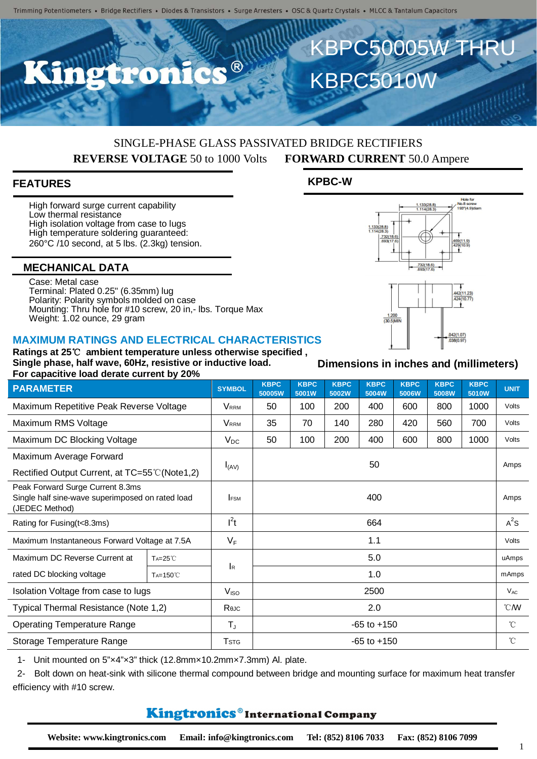

## SINGLE-PHASE GLASS PASSIVATED BRIDGE RECTIFIERS **REVERSE VOLTAGE** 50 to 1000 Volts **FORWARD CURRENT** 50.0 Ampere

#### **FEATURES**

High forward surge current capability Low thermal resistance High isolation voltage from case to lugs High temperature soldering quaranteed: 260°C /10 second, at 5 lbs. (2.3kg) tension.

#### **MECHANICAL DATA**

Case: Metal case Terminal: Plated 0.25" (6.35mm) lug Polarity: Polarity symbols molded on case Mounting: Thru hole for #10 screw, 20 in,- lbs. Torque Max Weight: 1.02 ounce, 29 gram

#### **MAXIMUM RATINGS AND ELECTRICAL CHARACTERISTICS Ratings at 25**℃ **ambient temperature unless otherwise specified ,**



1- Unit mounted on 5"×4"×3" thick (12.8mm×10.2mm×7.3mm) Al. plate.

2- Bolt down on heat-sink with silicone thermal compound between bridge and mounting surface for maximum heat transfer efficiency with #10 screw.

### Kingtronics®International Company

**Dimensions in inches and (millimeters)**

 $\frac{1.133(28.8)}{1.114(28.3)}$ 

 $\frac{732(18.6)}{602(17.6)}$ 

 $\frac{1.133(28.8)}{1.114(28.3)}$ 

 $\frac{1.200}{(30.5)$ MIN

Hole for<br>lo.8 screw

No.8 screw<br>193" (4.9) dia

442(11.23)<br>424(10.77)

1

# **KPBC-W**